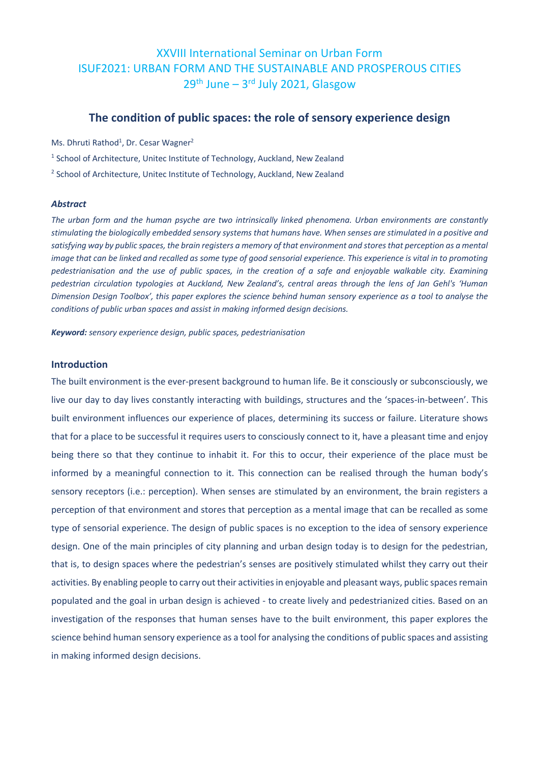# XXVIII International Seminar on Urban Form ISUF2021: URBAN FORM AND THE SUSTAINABLE AND PROSPEROUS CITIES  $29<sup>th</sup>$  June –  $3<sup>rd</sup>$  July 2021, Glasgow

# **The condition of public spaces: the role of sensory experience design**

Ms. Dhruti Rathod<sup>1</sup>, Dr. Cesar Wagner<sup>2</sup>

<sup>1</sup> School of Architecture, Unitec Institute of Technology, Auckland, New Zealand

<sup>2</sup> School of Architecture, Unitec Institute of Technology, Auckland, New Zealand

#### *Abstract*

*The urban form and the human psyche are two intrinsically linked phenomena. Urban environments are constantly stimulating the biologically embedded sensory systems that humans have. When senses are stimulated in a positive and satisfying way by public spaces, the brain registers a memory of that environment and stores that perception as a mental image that can be linked and recalled as some type of good sensorial experience. This experience is vital in to promoting pedestrianisation and the use of public spaces, in the creation of a safe and enjoyable walkable city. Examining pedestrian circulation typologies at Auckland, New Zealand's, central areas through the lens of Jan Gehl's 'Human Dimension Design Toolbox', this paper explores the science behind human sensory experience as a tool to analyse the conditions of public urban spaces and assist in making informed design decisions.*

*Keyword: sensory experience design, public spaces, pedestrianisation*

# **Introduction**

The built environment is the ever-present background to human life. Be it consciously or subconsciously, we live our day to day lives constantly interacting with buildings, structures and the 'spaces-in-between'. This built environment influences our experience of places, determining its success or failure. Literature shows that for a place to be successful it requires users to consciously connect to it, have a pleasant time and enjoy being there so that they continue to inhabit it. For this to occur, their experience of the place must be informed by a meaningful connection to it. This connection can be realised through the human body's sensory receptors (i.e.: perception). When senses are stimulated by an environment, the brain registers a perception of that environment and stores that perception as a mental image that can be recalled as some type of sensorial experience. The design of public spaces is no exception to the idea of sensory experience design. One of the main principles of city planning and urban design today is to design for the pedestrian, that is, to design spaces where the pedestrian's senses are positively stimulated whilst they carry out their activities. By enabling people to carry out their activities in enjoyable and pleasant ways, public spaces remain populated and the goal in urban design is achieved - to create lively and pedestrianized cities. Based on an investigation of the responses that human senses have to the built environment, this paper explores the science behind human sensory experience as a tool for analysing the conditions of public spaces and assisting in making informed design decisions.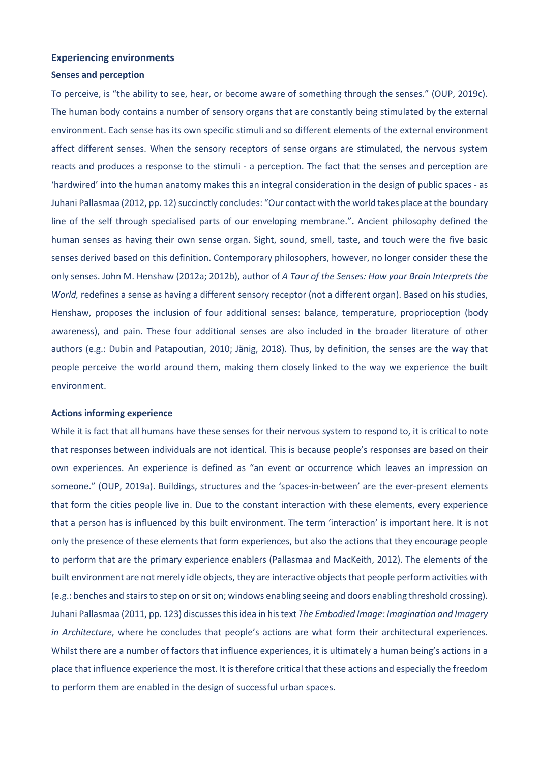# **Experiencing environments**

# **Senses and perception**

To perceive, is "the ability to see, hear, or become aware of something through the senses." (OUP, 2019c). The human body contains a number of sensory organs that are constantly being stimulated by the external environment. Each sense has its own specific stimuli and so different elements of the external environment affect different senses. When the sensory receptors of sense organs are stimulated, the nervous system reacts and produces a response to the stimuli - a perception. The fact that the senses and perception are 'hardwired' into the human anatomy makes this an integral consideration in the design of public spaces - as Juhani Pallasmaa (2012, pp. 12) succinctly concludes: "Our contact with the world takes place at the boundary line of the self through specialised parts of our enveloping membrane."**.** Ancient philosophy defined the human senses as having their own sense organ. Sight, sound, smell, taste, and touch were the five basic senses derived based on this definition. Contemporary philosophers, however, no longer consider these the only senses. John M. Henshaw (2012a; 2012b), author of *A Tour of the Senses: How your Brain Interprets the World,* redefines a sense as having a different sensory receptor (not a different organ). Based on his studies, Henshaw, proposes the inclusion of four additional senses: balance, temperature, proprioception (body awareness), and pain. These four additional senses are also included in the broader literature of other authors (e.g.: Dubin and Patapoutian, 2010; Jänig, 2018). Thus, by definition, the senses are the way that people perceive the world around them, making them closely linked to the way we experience the built environment.

#### **Actions informing experience**

While it is fact that all humans have these senses for their nervous system to respond to, it is critical to note that responses between individuals are not identical. This is because people's responses are based on their own experiences. An experience is defined as "an event or occurrence which leaves an impression on someone." (OUP, 2019a). Buildings, structures and the 'spaces-in-between' are the ever-present elements that form the cities people live in. Due to the constant interaction with these elements, every experience that a person has is influenced by this built environment. The term 'interaction' is important here. It is not only the presence of these elements that form experiences, but also the actions that they encourage people to perform that are the primary experience enablers (Pallasmaa and MacKeith, 2012). The elements of the built environment are not merely idle objects, they are interactive objects that people perform activities with (e.g.: benches and stairs to step on or sit on; windows enabling seeing and doors enabling threshold crossing). Juhani Pallasmaa (2011, pp. 123) discusses this idea in his text *The Embodied Image: Imagination and Imagery in Architecture*, where he concludes that people's actions are what form their architectural experiences. Whilst there are a number of factors that influence experiences, it is ultimately a human being's actions in a place that influence experience the most. It is therefore critical that these actions and especially the freedom to perform them are enabled in the design of successful urban spaces.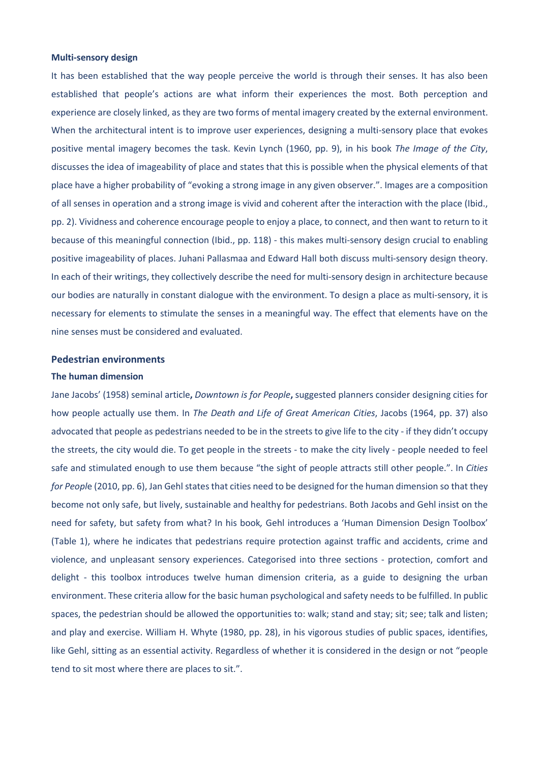#### **Multi-sensory design**

It has been established that the way people perceive the world is through their senses. It has also been established that people's actions are what inform their experiences the most. Both perception and experience are closely linked, as they are two forms of mental imagery created by the external environment. When the architectural intent is to improve user experiences, designing a multi-sensory place that evokes positive mental imagery becomes the task. Kevin Lynch (1960, pp. 9), in his book *The Image of the City*, discusses the idea of imageability of place and states that this is possible when the physical elements of that place have a higher probability of "evoking a strong image in any given observer.". Images are a composition of all senses in operation and a strong image is vivid and coherent after the interaction with the place (Ibid., pp. 2). Vividness and coherence encourage people to enjoy a place, to connect, and then want to return to it because of this meaningful connection (Ibid., pp. 118) - this makes multi-sensory design crucial to enabling positive imageability of places. Juhani Pallasmaa and Edward Hall both discuss multi-sensory design theory. In each of their writings, they collectively describe the need for multi-sensory design in architecture because our bodies are naturally in constant dialogue with the environment. To design a place as multi-sensory, it is necessary for elements to stimulate the senses in a meaningful way. The effect that elements have on the nine senses must be considered and evaluated.

# **Pedestrian environments**

#### **The human dimension**

Jane Jacobs' (1958) seminal article**,** *Downtown is for People***,** suggested planners consider designing cities for how people actually use them. In *The Death and Life of Great American Cities*, Jacobs (1964, pp. 37) also advocated that people as pedestrians needed to be in the streets to give life to the city - if they didn't occupy the streets, the city would die. To get people in the streets - to make the city lively - people needed to feel safe and stimulated enough to use them because "the sight of people attracts still other people.". In *Cities for Peopl*e (2010, pp. 6), Jan Gehl states that cities need to be designed for the human dimension so that they become not only safe, but lively, sustainable and healthy for pedestrians. Both Jacobs and Gehl insist on the need for safety, but safety from what? In his book*,* Gehl introduces a 'Human Dimension Design Toolbox' (Table 1), where he indicates that pedestrians require protection against traffic and accidents, crime and violence, and unpleasant sensory experiences. Categorised into three sections - protection, comfort and delight - this toolbox introduces twelve human dimension criteria, as a guide to designing the urban environment. These criteria allow for the basic human psychological and safety needs to be fulfilled. In public spaces, the pedestrian should be allowed the opportunities to: walk; stand and stay; sit; see; talk and listen; and play and exercise. William H. Whyte (1980, pp. 28), in his vigorous studies of public spaces, identifies, like Gehl, sitting as an essential activity. Regardless of whether it is considered in the design or not "people tend to sit most where there are places to sit.".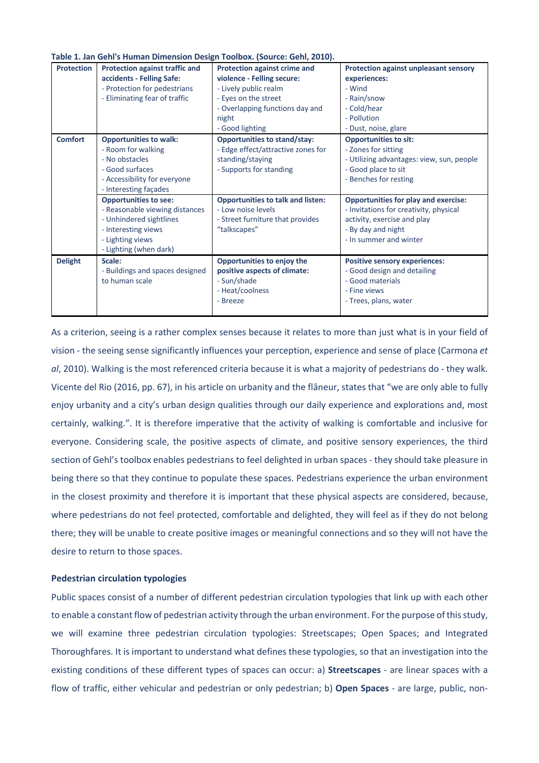**Table 1. Jan Gehl's Human Dimension Design Toolbox. (Source: Gehl, 2010).**

| <b>Protection</b> | <b>Protection against traffic and</b><br>accidents - Felling Safe:<br>- Protection for pedestrians<br>- Eliminating fear of traffic                            | Protection against crime and<br>violence - Felling secure:<br>- Lively public realm<br>- Eyes on the street<br>- Overlapping functions day and<br>night<br>- Good lighting | Protection against unpleasant sensory<br>experiences:<br>- Wind<br>- Rain/snow<br>- Cold/hear<br>- Pollution<br>- Dust, noise, glare                                 |
|-------------------|----------------------------------------------------------------------------------------------------------------------------------------------------------------|----------------------------------------------------------------------------------------------------------------------------------------------------------------------------|----------------------------------------------------------------------------------------------------------------------------------------------------------------------|
| <b>Comfort</b>    | <b>Opportunities to walk:</b><br>- Room for walking<br>- No obstacles<br>- Good surfaces<br>- Accessibility for everyone<br>- Interesting façades              | <b>Opportunities to stand/stay:</b><br>- Edge effect/attractive zones for<br>standing/staying<br>- Supports for standing                                                   | <b>Opportunities to sit:</b><br>- Zones for sitting<br>- Utilizing advantages: view, sun, people<br>- Good place to sit<br>- Benches for resting                     |
|                   | <b>Opportunities to see:</b><br>- Reasonable viewing distances<br>- Unhindered sightlines<br>- Interesting views<br>- Lighting views<br>- Lighting (when dark) | <b>Opportunities to talk and listen:</b><br>- Low noise levels<br>- Street furniture that provides<br>"talkscapes"                                                         | <b>Opportunities for play and exercise:</b><br>- Invitations for creativity, physical<br>activity, exercise and play<br>- By day and night<br>- In summer and winter |
| <b>Delight</b>    | Scale:<br>- Buildings and spaces designed<br>to human scale                                                                                                    | Opportunities to enjoy the<br>positive aspects of climate:<br>- Sun/shade<br>- Heat/coolness<br>- Breeze                                                                   | <b>Positive sensory experiences:</b><br>- Good design and detailing<br>- Good materials<br>- Fine views<br>- Trees, plans, water                                     |

As a criterion, seeing is a rather complex senses because it relates to more than just what is in your field of vision - the seeing sense significantly influences your perception, experience and sense of place (Carmona *et al*, 2010). Walking is the most referenced criteria because it is what a majority of pedestrians do - they walk. Vicente del Rio (2016, pp. 67), in his article on urbanity and the flâneur, states that "we are only able to fully enjoy urbanity and a city's urban design qualities through our daily experience and explorations and, most certainly, walking.". It is therefore imperative that the activity of walking is comfortable and inclusive for everyone. Considering scale, the positive aspects of climate, and positive sensory experiences, the third section of Gehl's toolbox enables pedestrians to feel delighted in urban spaces - they should take pleasure in being there so that they continue to populate these spaces. Pedestrians experience the urban environment in the closest proximity and therefore it is important that these physical aspects are considered, because, where pedestrians do not feel protected, comfortable and delighted, they will feel as if they do not belong there; they will be unable to create positive images or meaningful connections and so they will not have the desire to return to those spaces.

## **Pedestrian circulation typologies**

Public spaces consist of a number of different pedestrian circulation typologies that link up with each other to enable a constant flow of pedestrian activity through the urban environment. For the purpose of this study, we will examine three pedestrian circulation typologies: Streetscapes; Open Spaces; and Integrated Thoroughfares. It is important to understand what defines these typologies, so that an investigation into the existing conditions of these different types of spaces can occur: a) **Streetscapes** - are linear spaces with a flow of traffic, either vehicular and pedestrian or only pedestrian; b) **Open Spaces** - are large, public, non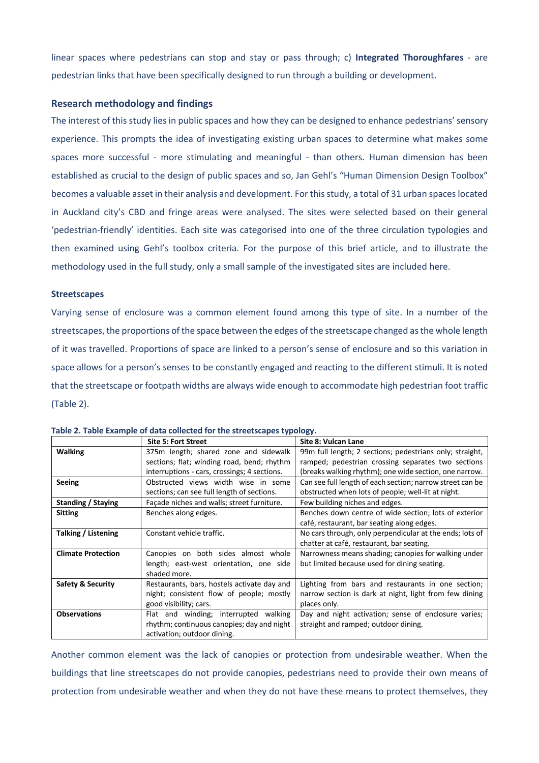linear spaces where pedestrians can stop and stay or pass through; c) **Integrated Thoroughfares** - are pedestrian links that have been specifically designed to run through a building or development.

# **Research methodology and findings**

The interest of this study lies in public spaces and how they can be designed to enhance pedestrians' sensory experience. This prompts the idea of investigating existing urban spaces to determine what makes some spaces more successful - more stimulating and meaningful - than others. Human dimension has been established as crucial to the design of public spaces and so, Jan Gehl's "Human Dimension Design Toolbox" becomes a valuable asset in their analysis and development. For this study, a total of 31 urban spaces located in Auckland city's CBD and fringe areas were analysed. The sites were selected based on their general 'pedestrian-friendly' identities. Each site was categorised into one of the three circulation typologies and then examined using Gehl's toolbox criteria. For the purpose of this brief article, and to illustrate the methodology used in the full study, only a small sample of the investigated sites are included here.

#### **Streetscapes**

Varying sense of enclosure was a common element found among this type of site. In a number of the streetscapes, the proportions of the space between the edges of the streetscape changed as the whole length of it was travelled. Proportions of space are linked to a person's sense of enclosure and so this variation in space allows for a person's senses to be constantly engaged and reacting to the different stimuli. It is noted that the streetscape or footpath widths are always wide enough to accommodate high pedestrian foot traffic (Table 2).

|                                                  | <b>Site 5: Fort Street</b>                   | Site 8: Vulcan Lane                                       |  |  |
|--------------------------------------------------|----------------------------------------------|-----------------------------------------------------------|--|--|
| <b>Walking</b>                                   | 375m length; shared zone and sidewalk        | 99m full length; 2 sections; pedestrians only; straight,  |  |  |
|                                                  | sections; flat; winding road, bend; rhythm   | ramped; pedestrian crossing separates two sections        |  |  |
|                                                  | interruptions - cars, crossings; 4 sections. | (breaks walking rhythm); one wide section, one narrow.    |  |  |
| Seeing                                           | Obstructed views width wise in some          | Can see full length of each section; narrow street can be |  |  |
|                                                  | sections; can see full length of sections.   | obstructed when lots of people; well-lit at night.        |  |  |
| <b>Standing / Staying</b>                        | Façade niches and walls; street furniture.   | Few building niches and edges.                            |  |  |
| Benches along edges.<br><b>Sitting</b>           |                                              | Benches down centre of wide section; lots of exterior     |  |  |
|                                                  |                                              | café, restaurant, bar seating along edges.                |  |  |
| Talking / Listening<br>Constant vehicle traffic. |                                              | No cars through, only perpendicular at the ends; lots of  |  |  |
|                                                  |                                              | chatter at café, restaurant, bar seating.                 |  |  |
| <b>Climate Protection</b>                        | Canopies on both sides almost whole          | Narrowness means shading; canopies for walking under      |  |  |
|                                                  | length; east-west orientation, one side      | but limited because used for dining seating.              |  |  |
|                                                  | shaded more.                                 |                                                           |  |  |
| <b>Safety &amp; Security</b>                     | Restaurants, bars, hostels activate day and  | Lighting from bars and restaurants in one section;        |  |  |
|                                                  | night; consistent flow of people; mostly     | narrow section is dark at night, light from few dining    |  |  |
|                                                  | good visibility; cars.                       | places only.                                              |  |  |
| <b>Observations</b>                              | Flat and winding; interrupted<br>walking     | Day and night activation; sense of enclosure varies;      |  |  |
|                                                  | rhythm; continuous canopies; day and night   | straight and ramped; outdoor dining.                      |  |  |
|                                                  | activation; outdoor dining.                  |                                                           |  |  |

|  |  |  | Table 2. Table Example of data collected for the streetscapes typology. |  |
|--|--|--|-------------------------------------------------------------------------|--|
|--|--|--|-------------------------------------------------------------------------|--|

Another common element was the lack of canopies or protection from undesirable weather. When the buildings that line streetscapes do not provide canopies, pedestrians need to provide their own means of protection from undesirable weather and when they do not have these means to protect themselves, they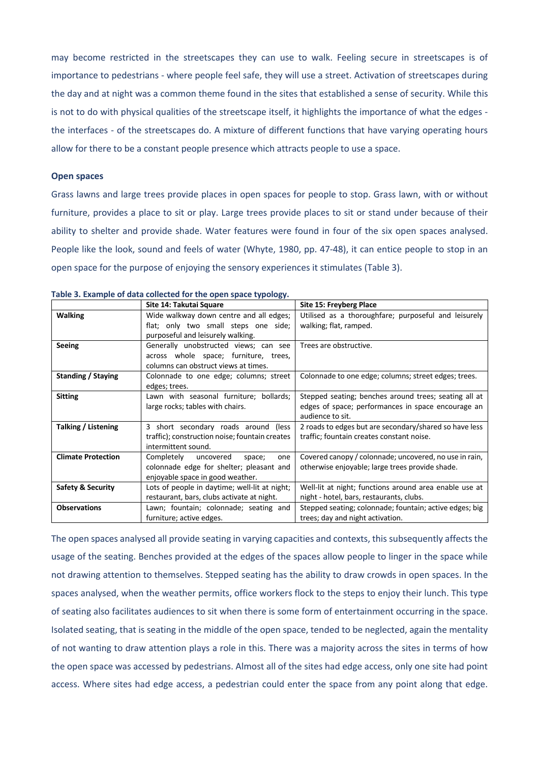may become restricted in the streetscapes they can use to walk. Feeling secure in streetscapes is of importance to pedestrians - where people feel safe, they will use a street. Activation of streetscapes during the day and at night was a common theme found in the sites that established a sense of security. While this is not to do with physical qualities of the streetscape itself, it highlights the importance of what the edges the interfaces - of the streetscapes do. A mixture of different functions that have varying operating hours allow for there to be a constant people presence which attracts people to use a space.

#### **Open spaces**

Grass lawns and large trees provide places in open spaces for people to stop. Grass lawn, with or without furniture, provides a place to sit or play. Large trees provide places to sit or stand under because of their ability to shelter and provide shade. Water features were found in four of the six open spaces analysed. People like the look, sound and feels of water (Whyte, 1980, pp. 47-48), it can entice people to stop in an open space for the purpose of enjoying the sensory experiences it stimulates (Table 3).

|                                                                                               | Site 14: Takutai Square                                                                                                  | Site 15: Freyberg Place                                                                                                         |  |  |
|-----------------------------------------------------------------------------------------------|--------------------------------------------------------------------------------------------------------------------------|---------------------------------------------------------------------------------------------------------------------------------|--|--|
| <b>Walking</b>                                                                                | Wide walkway down centre and all edges;<br>flat; only two small steps one side;<br>purposeful and leisurely walking.     | Utilised as a thoroughfare; purposeful and leisurely<br>walking; flat, ramped.                                                  |  |  |
| <b>Seeing</b>                                                                                 | Generally unobstructed views; can see<br>across whole space; furniture, trees,<br>columns can obstruct views at times.   | Trees are obstructive.                                                                                                          |  |  |
| Standing / Staying                                                                            | Colonnade to one edge; columns; street<br>edges; trees.                                                                  | Colonnade to one edge; columns; street edges; trees.                                                                            |  |  |
| <b>Sitting</b><br>Lawn with seasonal furniture; bollards;<br>large rocks; tables with chairs. |                                                                                                                          | Stepped seating; benches around trees; seating all at<br>edges of space; performances in space encourage an<br>audience to sit. |  |  |
| Talking / Listening                                                                           | 3 short secondary roads around (less<br>traffic); construction noise; fountain creates<br>intermittent sound.            | 2 roads to edges but are secondary/shared so have less<br>traffic; fountain creates constant noise.                             |  |  |
| <b>Climate Protection</b>                                                                     | Completely<br>uncovered<br>space;<br>one<br>colonnade edge for shelter; pleasant and<br>enjoyable space in good weather. | Covered canopy / colonnade; uncovered, no use in rain,<br>otherwise enjoyable; large trees provide shade.                       |  |  |
| <b>Safety &amp; Security</b>                                                                  | Lots of people in daytime; well-lit at night;<br>restaurant, bars, clubs activate at night.                              | Well-lit at night; functions around area enable use at<br>night - hotel, bars, restaurants, clubs.                              |  |  |
| <b>Observations</b>                                                                           | Lawn; fountain; colonnade; seating and<br>furniture; active edges.                                                       | Stepped seating; colonnade; fountain; active edges; big<br>trees; day and night activation.                                     |  |  |

# **Table 3. Example of data collected for the open space typology.**

The open spaces analysed all provide seating in varying capacities and contexts, this subsequently affects the usage of the seating. Benches provided at the edges of the spaces allow people to linger in the space while not drawing attention to themselves. Stepped seating has the ability to draw crowds in open spaces. In the spaces analysed, when the weather permits, office workers flock to the steps to enjoy their lunch. This type of seating also facilitates audiences to sit when there is some form of entertainment occurring in the space. Isolated seating, that is seating in the middle of the open space, tended to be neglected, again the mentality of not wanting to draw attention plays a role in this. There was a majority across the sites in terms of how the open space was accessed by pedestrians. Almost all of the sites had edge access, only one site had point access. Where sites had edge access, a pedestrian could enter the space from any point along that edge.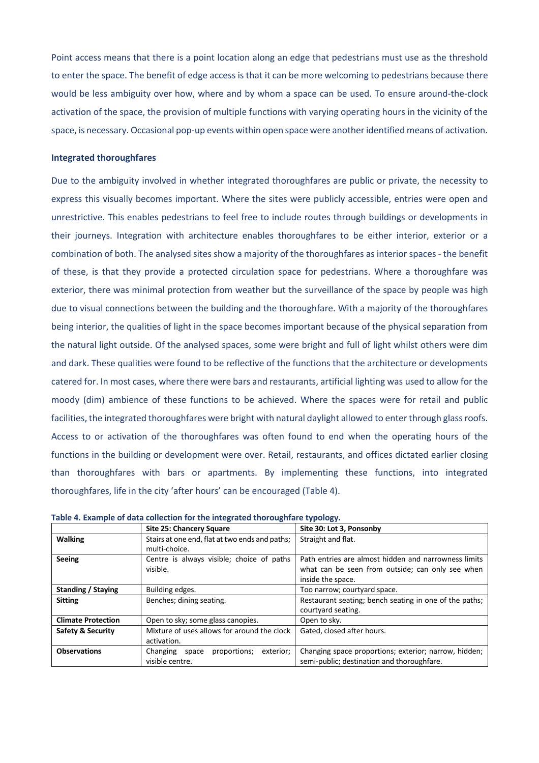Point access means that there is a point location along an edge that pedestrians must use as the threshold to enter the space. The benefit of edge access is that it can be more welcoming to pedestrians because there would be less ambiguity over how, where and by whom a space can be used. To ensure around-the-clock activation of the space, the provision of multiple functions with varying operating hours in the vicinity of the space, is necessary. Occasional pop-up events within open space were another identified means of activation.

#### **Integrated thoroughfares**

Due to the ambiguity involved in whether integrated thoroughfares are public or private, the necessity to express this visually becomes important. Where the sites were publicly accessible, entries were open and unrestrictive. This enables pedestrians to feel free to include routes through buildings or developments in their journeys. Integration with architecture enables thoroughfares to be either interior, exterior or a combination of both. The analysed sites show a majority of the thoroughfares as interior spaces - the benefit of these, is that they provide a protected circulation space for pedestrians. Where a thoroughfare was exterior, there was minimal protection from weather but the surveillance of the space by people was high due to visual connections between the building and the thoroughfare. With a majority of the thoroughfares being interior, the qualities of light in the space becomes important because of the physical separation from the natural light outside. Of the analysed spaces, some were bright and full of light whilst others were dim and dark. These qualities were found to be reflective of the functions that the architecture or developments catered for. In most cases, where there were bars and restaurants, artificial lighting was used to allow for the moody (dim) ambience of these functions to be achieved. Where the spaces were for retail and public facilities, the integrated thoroughfares were bright with natural daylight allowed to enter through glass roofs. Access to or activation of the thoroughfares was often found to end when the operating hours of the functions in the building or development were over. Retail, restaurants, and offices dictated earlier closing than thoroughfares with bars or apartments. By implementing these functions, into integrated thoroughfares, life in the city 'after hours' can be encouraged (Table 4).

|                                            | <b>Site 25: Chancery Square</b>                                                                                                                                       | Site 30: Lot 3, Ponsonby                                                                                                      |  |
|--------------------------------------------|-----------------------------------------------------------------------------------------------------------------------------------------------------------------------|-------------------------------------------------------------------------------------------------------------------------------|--|
| <b>Walking</b>                             | Stairs at one end, flat at two ends and paths;<br>multi-choice.                                                                                                       | Straight and flat.                                                                                                            |  |
| <b>Seeing</b>                              | Centre is always visible; choice of paths<br>visible.                                                                                                                 | Path entries are almost hidden and narrowness limits<br>what can be seen from outside; can only see when<br>inside the space. |  |
| Standing / Staving                         | Building edges.                                                                                                                                                       | Too narrow; courtyard space.                                                                                                  |  |
| <b>Sitting</b><br>Benches; dining seating. |                                                                                                                                                                       | Restaurant seating; bench seating in one of the paths;<br>courtyard seating.                                                  |  |
| <b>Climate Protection</b>                  | Open to sky; some glass canopies.                                                                                                                                     | Open to sky.                                                                                                                  |  |
| Safety & Security                          | Mixture of uses allows for around the clock<br>activation.                                                                                                            | Gated, closed after hours.                                                                                                    |  |
| <b>Observations</b>                        | Changing space proportions; exterior; narrow, hidden;<br>Changing space<br>proportions;<br>exterior;<br>semi-public; destination and thoroughfare.<br>visible centre. |                                                                                                                               |  |

| Table 4. Example of data collection for the integrated thoroughfare typology. |  |  |  |
|-------------------------------------------------------------------------------|--|--|--|
|                                                                               |  |  |  |